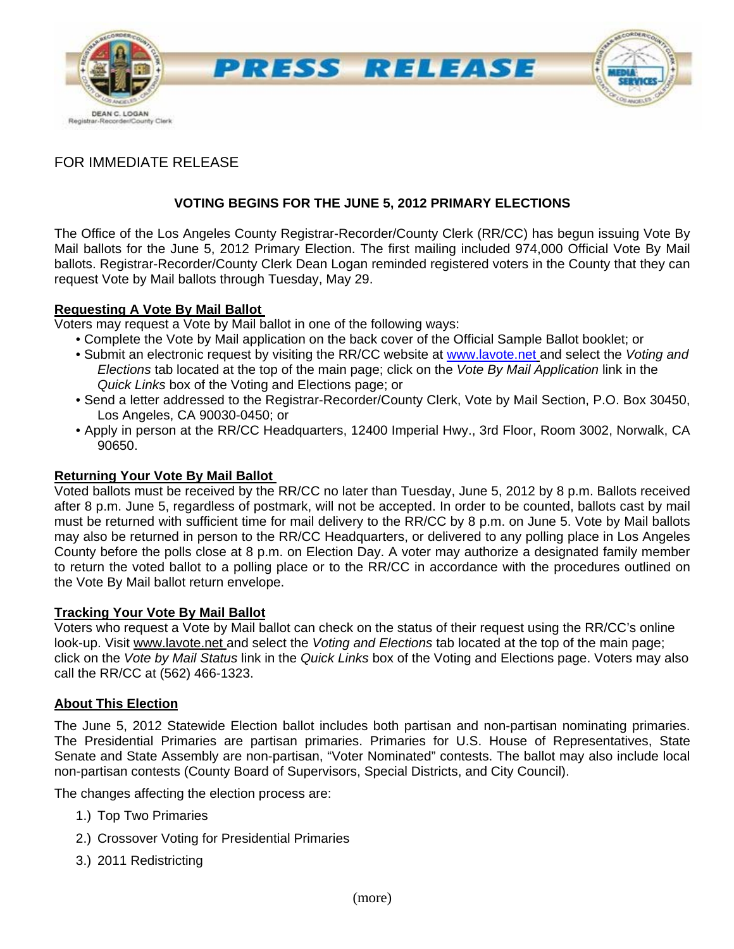

# FOR IMMEDIATE RELEASE

## **VOTING BEGINS FOR THE JUNE 5, 2012 PRIMARY ELECTIONS**

The Office of the Los Angeles County Registrar-Recorder/County Clerk (RR/CC) has begun issuing Vote By Mail ballots for the June 5, 2012 Primary Election. The first mailing included 974,000 Official Vote By Mail ballots. Registrar-Recorder/County Clerk Dean Logan reminded registered voters in the County that they can request Vote by Mail ballots through Tuesday, May 29.

### **Requesting A Vote By Mail Ballot**

Voters may request a Vote by Mail ballot in one of the following ways:

- Complete the Vote by Mail application on the back cover of the Official Sample Ballot booklet; or
- Submit an electronic request by visiting the RR/CC website at [www.lavote.net](http://www.lavote.net/) and select the *Voting and Elections* tab located at the top of the main page; click on the *Vote By Mail Application* link in the *Quick Links* box of the Voting and Elections page; or
- Send a letter addressed to the Registrar-Recorder/County Clerk, Vote by Mail Section, P.O. Box 30450, Los Angeles, CA 90030-0450; or
- Apply in person at the RR/CC Headquarters, 12400 Imperial Hwy., 3rd Floor, Room 3002, Norwalk, CA 90650.

#### **Returning Your Vote By Mail Ballot**

Voted ballots must be received by the RR/CC no later than Tuesday, June 5, 2012 by 8 p.m. Ballots received after 8 p.m. June 5, regardless of postmark, will not be accepted. In order to be counted, ballots cast by mail must be returned with sufficient time for mail delivery to the RR/CC by 8 p.m. on June 5. Vote by Mail ballots may also be returned in person to the RR/CC Headquarters, or delivered to any polling place in Los Angeles County before the polls close at 8 p.m. on Election Day. A voter may authorize a designated family member to return the voted ballot to a polling place or to the RR/CC in accordance with the procedures outlined on the Vote By Mail ballot return envelope.

# **Tracking Your Vote By Mail Ballot**

Voters who request a Vote by Mail ballot can check on the status of their request using the RR/CC's online look-up. Visit www.lavote.net and select the *Voting and Elections* tab located at the top of the main page; click on the *Vote by Mail Status* link in the *Quick Links* box of the Voting and Elections page. Voters may also call the RR/CC at (562) 466-1323.

#### **About This Election**

The June 5, 2012 Statewide Election ballot includes both partisan and non-partisan nominating primaries. The Presidential Primaries are partisan primaries. Primaries for U.S. House of Representatives, State Senate and State Assembly are non-partisan, "Voter Nominated" contests. The ballot may also include local non-partisan contests (County Board of Supervisors, Special Districts, and City Council).

The changes affecting the election process are:

- 1.) Top Two Primaries
- 2.) Crossover Voting for Presidential Primaries
- 3.) 2011 Redistricting